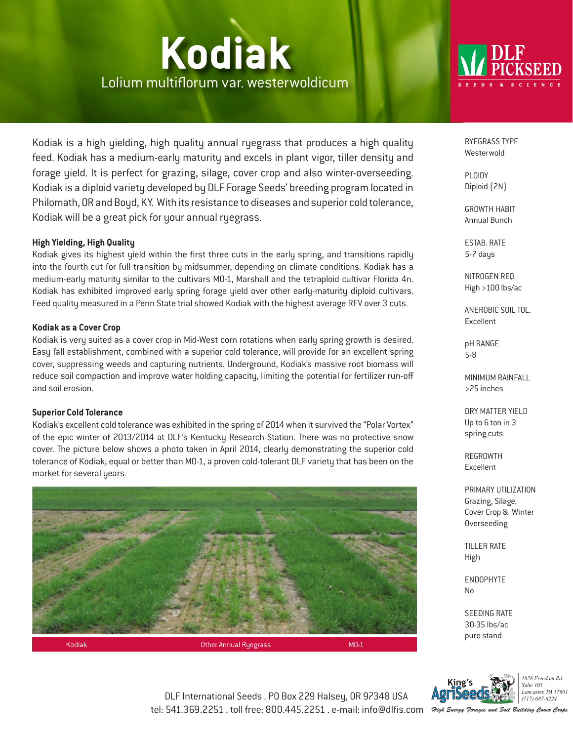# **Kodiak** Lolium multiflorum var. westerwoldicum



Kodiak is a high yielding, high quality annual ryegrass that produces a high quality feed. Kodiak has a medium-early maturity and excels in plant vigor, tiller density and forage yield. It is perfect for grazing, silage, cover crop and also winter-overseeding. Kodiak is a diploid variety developed by DLF Forage Seeds' breeding program located in Philomath, OR and Boyd, KY. With its resistance to diseases and superior cold tolerance, Kodiak will be a great pick for your annual ryegrass.

### **High Yielding, High Quality**

Kodiak gives its highest yield within the first three cuts in the early spring, and transitions rapidly into the fourth cut for full transition by midsummer, depending on climate conditions. Kodiak has a medium-early maturity similar to the cultivars MO-1, Marshall and the tetraploid cultivar Florida 4n. Kodiak has exhibited improved early spring forage yield over other early-maturity diploid cultivars. Feed quality measured in a Penn State trial showed Kodiak with the highest average RFV over 3 cuts.

### **Kodiak as a Cover Crop**

Kodiak is very suited as a cover crop in Mid-West corn rotations when early spring growth is desired. Easy fall establishment, combined with a superior cold tolerance, will provide for an excellent spring cover, suppressing weeds and capturing nutrients. Underground, Kodiak's massive root biomass will reduce soil compaction and improve water holding capacity, limiting the potential for fertilizer run-off and soil erosion.

#### **Superior Cold Tolerance**

Kodiak's excellent cold tolerance was exhibited in the spring of 2014 when it survived the "Polar Vortex" of the epic winter of 2013/2014 at DLF's Kentucky Research Station. There was no protective snow cover. The picture below shows a photo taken in April 2014, clearly demonstrating the superior cold tolerance of Kodiak; equal or better than MO-1, a proven cold-tolerant DLF variety that has been on the market for several years.



RYEGRASS TYPE Westerwold

PLOIDY Diploid (2N)

GROWTH HABIT Annual Bunch

ESTAB. RATE 5-7 days

NITROGEN REQ. High >100 lbs/ac

ANEROBIC SOIL TOL. Excellent

pH RANGE 5-8

MINIMUM RAINFALL >25 inches

DRY MATTER YIELD Up to 6 ton in 3 spring cuts

REGROWTH Excellent

PRIMARY UTILIZATION Grazing, Silage, Cover Crop & Winter Overseeding

TILLER RATE High

ENDOPHYTE No

SEEDING RATE 30-35 lbs/ac pure stand



1828 Freedom Rd Suite 101 Lancaster, PA 17601  $(717) 687 - 6224$ 

DLF International Seeds . PO Box 229 Halsey, OR 97348 USA tel: 541.369.2251 . toll free: 800.445.2251 . e-mail: info@dlfis.com

High Energy Forages and Soil Building Cover Crops